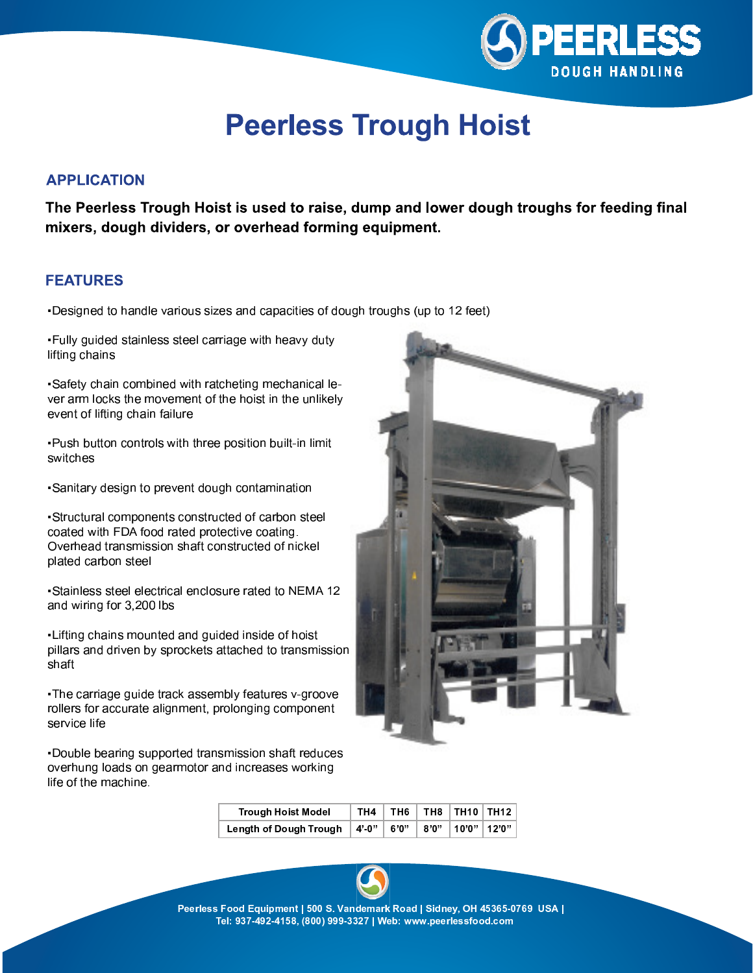

## **Peerless Trough Hoist**

### **APPLICATION**

The Peerless Trough Hoist is used to raise, dump and lower dough troughs for feeding final mixers, dough dividers, or overhead forming equipment.

#### **FEATURES**

-Designed to handle various sizes and capacities of dough troughs (up to 12 feet)

. Fully guided stainless steel carriage with heavy duty lifting chains

-Safety chain combined with ratcheting mechanical lever arm locks the movement of the hoist in the unlikely event of lifting chain failure

-Push button controls with three position built-in limit switches

-Sanitary design to prevent dough contamination

-Structural components constructed of carbon steel coated with FDA food rated protective coating. Overhead transmission shaft constructed of nickel plated carbon steel

-Stainless steel electrical enclosure rated to NEMA 12 and wiring for 3,200 lbs

-Lifting chains mounted and guided inside of hoist pillars and driven by sprockets attached to transmission shaft

-The carriage quide track assembly features v-groove rollers for accurate alignment, prolonging component service life

. Double bearing supported transmission shaft reduces overhung loads on gearmotor and increases working life of the machine.



| <b>Trough Hoist Model</b>              | TH4 |  | TH6 $\parallel$ TH8 $\parallel$ TH10 $\parallel$ TH12 |  |
|----------------------------------------|-----|--|-------------------------------------------------------|--|
| Length of Dough Trough $ 4'-0'' $ 6'0" |     |  | <b>↓ 8'0"  10'0" 12'0"</b>                            |  |



Peerless Food Equipment | 500 S. Vandemark Road | Sidney, OH 45365-0769 USA | Tel: 937-492-4158, (800) 999-3327 | Web: www.peerlessfood.com